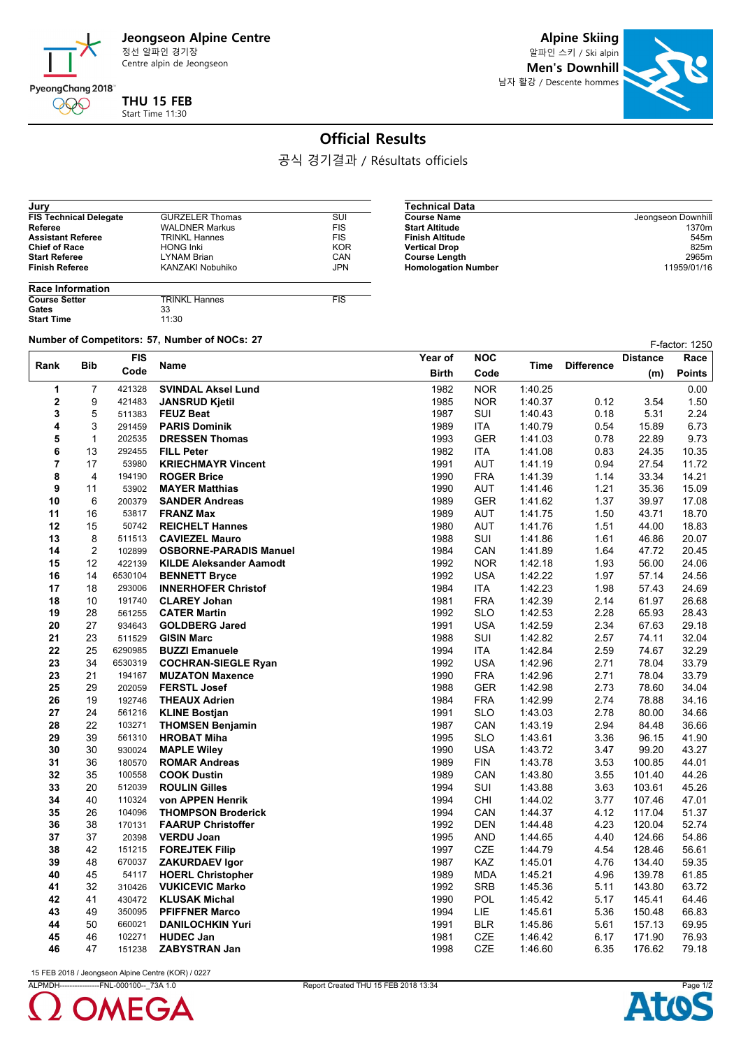

Centre alpin de Jeongseon

**Alpine Skiing**

알파인 스키 / Ski alpin **Men's Downhill** 남자 활강 / Descente hommes



## **Official Results**

 $\overline{\phantom{0}}$ 

공식 경기결과 / Résultats officiels

| Jury                          |                        |            |
|-------------------------------|------------------------|------------|
| <b>FIS Technical Delegate</b> | <b>GURZELER Thomas</b> | SUI        |
| Referee                       | <b>WALDNER Markus</b>  | <b>FIS</b> |
| <b>Assistant Referee</b>      | <b>TRINKL Hannes</b>   | <b>FIS</b> |
| <b>Chief of Race</b>          | <b>HONG Inki</b>       | <b>KOR</b> |
| <b>Start Referee</b>          | <b>LYNAM Brian</b>     | CAN        |
| <b>Finish Referee</b>         | KANZAKI Nobuhiko       | <b>JPN</b> |
|                               |                        |            |

| <b>Technical Data</b>      |                    |
|----------------------------|--------------------|
| <b>Course Name</b>         | Jeongseon Downhill |
| <b>Start Altitude</b>      | 1370m              |
| <b>Finish Altitude</b>     | 545m               |
| <b>Vertical Drop</b>       | 825m               |
| <b>Course Length</b>       | 2965m              |
| <b>Homologation Number</b> | 11959/01/16        |

| <b>Race Information</b> |                      |            |
|-------------------------|----------------------|------------|
| <b>Course Setter</b>    | <b>TRINKL Hannes</b> | <b>FIS</b> |
| Gates                   | 33                   |            |
| <b>Start Time</b>       | 11:30                |            |

**Number of Competitors: 57, Number of NOCs: 27 F-factor: 1250** 

| <b>FIS</b><br><b>Bib</b> |                |                  | Name                                       | Year of      | <b>NOC</b>               | Time               | <b>Difference</b> | <b>Distance</b> | Race           |
|--------------------------|----------------|------------------|--------------------------------------------|--------------|--------------------------|--------------------|-------------------|-----------------|----------------|
| Rank                     | Code           | <b>Birth</b>     |                                            | Code         | (m)                      |                    |                   | <b>Points</b>   |                |
| 1                        | $\overline{7}$ | 421328           | <b>SVINDAL Aksel Lund</b>                  | 1982         | <b>NOR</b>               | 1:40.25            |                   |                 | 0.00           |
| 2                        | 9              | 421483           | <b>JANSRUD Kjetil</b>                      | 1985         | <b>NOR</b>               | 1:40.37            | 0.12              | 3.54            | 1.50           |
| 3                        | 5              | 511383           | <b>FEUZ Beat</b>                           | 1987         | SUI                      | 1:40.43            | 0.18              | 5.31            | 2.24           |
| 4                        | 3              | 291459           | <b>PARIS Dominik</b>                       | 1989         | <b>ITA</b>               | 1.40.79            | 0.54              | 15.89           | 6.73           |
| 5                        | $\mathbf{1}$   | 202535           | <b>DRESSEN Thomas</b>                      | 1993         | <b>GER</b>               | 1:41.03            | 0.78              | 22.89           | 9.73           |
| 6                        | 13             | 292455           | <b>FILL Peter</b>                          | 1982         | <b>ITA</b>               | 1:41.08            | 0.83              | 24.35           | 10.35          |
| 7                        | 17             | 53980            | <b>KRIECHMAYR Vincent</b>                  | 1991         | <b>AUT</b>               | 1:41.19            | 0.94              | 27.54           | 11.72          |
| 8                        | 4              | 194190           | <b>ROGER Brice</b>                         | 1990         | <b>FRA</b>               | 1:41.39            | 1.14              | 33.34           | 14.21          |
| 9                        | 11             | 53902            | <b>MAYER Matthias</b>                      | 1990         | <b>AUT</b>               | 1.41.46            | 1.21              | 35.36           | 15.09          |
| 10                       | 6              | 200379           | <b>SANDER Andreas</b>                      | 1989         | <b>GER</b>               | 1:41.62            | 1.37              | 39.97           | 17.08          |
| 11                       | 16             | 53817            | <b>FRANZ Max</b>                           | 1989         | <b>AUT</b>               | 1:41.75            | 1.50              | 43.71           | 18.70          |
| 12                       | 15             | 50742            | <b>REICHELT Hannes</b>                     | 1980         | <b>AUT</b>               | 1.41.76            | 1.51              | 44.00           | 18.83          |
| 13                       | 8              | 511513           | <b>CAVIEZEL Mauro</b>                      | 1988         | SUI                      | 1:41.86            | 1.61              | 46.86           | 20.07          |
| 14                       | $\overline{c}$ | 102899           | <b>OSBORNE-PARADIS Manuel</b>              | 1984         | CAN                      | 1.41.89            | 1.64              | 47.72           | 20.45          |
| 15                       | 12             | 422139           | <b>KILDE Aleksander Aamodt</b>             | 1992         | <b>NOR</b>               | 1.42.18            | 1.93              | 56.00           | 24.06          |
| 16                       | 14             | 6530104          | <b>BENNETT Bryce</b>                       | 1992         | <b>USA</b>               | 1:42.22            | 1.97              | 57.14           | 24.56          |
| 17                       | 18             | 293006           | <b>INNERHOFER Christof</b>                 | 1984         | ITA                      | 1:42.23            | 1.98              | 57.43           | 24.69          |
| 18                       | 10             | 191740           | <b>CLAREY Johan</b>                        | 1981         | <b>FRA</b>               | 1:42.39            | 2.14              | 61.97           | 26.68          |
| 19<br>20                 | 28<br>27       | 561255<br>934643 | <b>CATER Martin</b>                        | 1992<br>1991 | <b>SLO</b><br><b>USA</b> | 1:42.53<br>1:42.59 | 2.28<br>2.34      | 65.93           | 28.43<br>29.18 |
| 21                       | 23             | 511529           | <b>GOLDBERG Jared</b><br><b>GISIN Marc</b> | 1988         | SUI                      | 1:42.82            | 2.57              | 67.63<br>74.11  | 32.04          |
| 22                       | 25             | 6290985          | <b>BUZZI Emanuele</b>                      | 1994         | <b>ITA</b>               | 1:42.84            | 2.59              | 74.67           | 32.29          |
| 23                       | 34             | 6530319          | <b>COCHRAN-SIEGLE Ryan</b>                 | 1992         | <b>USA</b>               | 1:42.96            | 2.71              | 78.04           | 33.79          |
| 23                       | 21             | 194167           | <b>MUZATON Maxence</b>                     | 1990         | <b>FRA</b>               | 1.42.96            | 2.71              | 78.04           | 33.79          |
| 25                       | 29             | 202059           | <b>FERSTL Josef</b>                        | 1988         | <b>GER</b>               | 1:42.98            | 2.73              | 78.60           | 34.04          |
| 26                       | 19             | 192746           | <b>THEAUX Adrien</b>                       | 1984         | <b>FRA</b>               | 1:42.99            | 2.74              | 78.88           | 34.16          |
| 27                       | 24             | 561216           | <b>KLINE Bostjan</b>                       | 1991         | <b>SLO</b>               | 1:43.03            | 2.78              | 80.00           | 34.66          |
| 28                       | 22             | 103271           | <b>THOMSEN Benjamin</b>                    | 1987         | CAN                      | 1:43.19            | 2.94              | 84.48           | 36.66          |
| 29                       | 39             | 561310           | <b>HROBAT Miha</b>                         | 1995         | <b>SLO</b>               | 1:43.61            | 3.36              | 96.15           | 41.90          |
| 30                       | 30             | 930024           | <b>MAPLE Wiley</b>                         | 1990         | <b>USA</b>               | 1.43.72            | 3.47              | 99.20           | 43.27          |
| 31                       | 36             | 180570           | <b>ROMAR Andreas</b>                       | 1989         | <b>FIN</b>               | 1.43.78            | 3.53              | 100.85          | 44.01          |
| 32                       | 35             | 100558           | <b>COOK Dustin</b>                         | 1989         | CAN                      | 1:43.80            | 3.55              | 101.40          | 44.26          |
| 33                       | 20             | 512039           | <b>ROULIN Gilles</b>                       | 1994         | <b>SUI</b>               | 1:43.88            | 3.63              | 103.61          | 45.26          |
| 34                       | 40             | 110324           | von APPEN Henrik                           | 1994         | CHI                      | 1:44.02            | 3.77              | 107.46          | 47.01          |
| 35                       | 26             | 104096           | <b>THOMPSON Broderick</b>                  | 1994         | CAN                      | 1.44.37            | 4.12              | 117.04          | 51.37          |
| 36                       | 38             | 170131           | <b>FAARUP Christoffer</b>                  | 1992         | <b>DEN</b>               | 1:44.48            | 4.23              | 120.04          | 52.74          |
| 37                       | 37             | 20398            | <b>VERDU Joan</b>                          | 1995         | AND                      | 1:44.65            | 4.40              | 124.66          | 54.86          |
| 38                       | 42             | 151215           | <b>FOREJTEK Filip</b>                      | 1997         | <b>CZE</b>               | 1.44.79            | 4.54              | 128.46          | 56.61          |
| 39                       | 48             | 670037           | <b>ZAKURDAEV Igor</b>                      | 1987         | <b>KAZ</b>               | 1.45.01            | 4.76              | 134.40          | 59.35          |
| 40                       | 45             | 54117            | <b>HOERL Christopher</b>                   | 1989         | <b>MDA</b>               | 1:45.21            | 4.96              | 139.78          | 61.85          |
| 41                       | 32             | 310426           | <b>VUKICEVIC Marko</b>                     | 1992         | <b>SRB</b>               | 1:45.36            | 5.11              | 143.80          | 63.72          |
| 42                       | 41             | 430472           | <b>KLUSAK Michal</b>                       | 1990         | POL                      | 1.45.42            | 5.17              | 145.41          | 64.46          |
| 43                       | 49             | 350095           | <b>PFIFFNER Marco</b>                      | 1994         | LIE.                     | 1.45.61            | 5.36              | 150.48          | 66.83          |
| 44                       | 50             | 660021           | <b>DANILOCHKIN Yuri</b>                    | 1991         | <b>BLR</b>               | 1:45.86            | 5.61              | 157.13          | 69.95          |
| 45                       | 46             | 102271           | <b>HUDEC Jan</b>                           | 1981         | <b>CZE</b>               | 1:46.42            | 6.17              | 171.90          | 76.93          |
| 46                       | 47             | 151238           | <b>ZABYSTRAN Jan</b>                       | 1998         | CZE                      | 1:46.60            | 6.35              | 176.62          | 79.18          |

15 FEB 2018 / Jeongseon Alpine Centre (KOR) / 0227